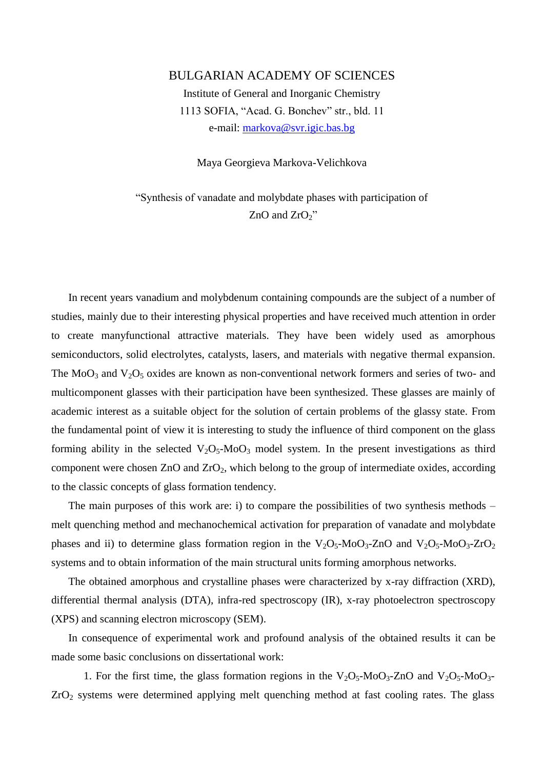## BULGARIAN ACADEMY OF SCIENCES

Institute of General and Inorganic Chemistry 1113 SOFIA, "Acad. G. Bonchev" str., bld. 11 e-mail: [markova@svr.igic.bas.bg](mailto:markova@svr.igic.bas.bg)

Maya Georgieva Markova-Velichkova

"Synthesis of vanadate and molybdate phases with participation of  $ZnO$  and  $ZrO<sub>2</sub>$ "

In recent years vanadium and molybdenum containing compounds are the subject of a number of studies, mainly due to their interesting physical properties and have received much attention in order to create manyfunctional attractive materials. They have been widely used as amorphous semiconductors, solid electrolytes, catalysts, lasers, and materials with negative thermal expansion. The  $MoO<sub>3</sub>$  and  $V<sub>2</sub>O<sub>5</sub>$  oxides are known as non-conventional network formers and series of two- and multicomponent glasses with their participation have been synthesized. These glasses are mainly of academic interest as a suitable object for the solution of certain problems of the glassy state. From the fundamental point of view it is interesting to study the influence of third component on the glass forming ability in the selected  $V_2O_5-M_0O_3$  model system. In the present investigations as third component were chosen ZnO and ZrO<sub>2</sub>, which belong to the group of intermediate oxides, according to the classic concepts of glass formation tendency.

The main purposes of this work are: i) to compare the possibilities of two synthesis methods – melt quenching method and mechanochemical activation for preparation of vanadate and molybdate phases and ii) to determine glass formation region in the  $V_2O_5$ -Mo $O_3$ -ZnO and  $V_2O_5$ -Mo $O_3$ -ZrO<sub>2</sub> systems and to obtain information of the main structural units forming amorphous networks.

The obtained amorphous and crystalline phases were characterized by x-ray diffraction (XRD), differential thermal analysis (DTA), infra-red spectroscopy (IR), x-ray photoelectron spectroscopy (XPS) and scanning electron microscopy (SEM).

In consequence of experimental work and profound analysis of the obtained results it can be made some basic conclusions on dissertational work:

1. For the first time, the glass formation regions in the  $V_2O_5$ -Mo $O_3$ -ZnO and  $V_2O_5$ -Mo $O_3$ - $ZrO<sub>2</sub>$  systems were determined applying melt quenching method at fast cooling rates. The glass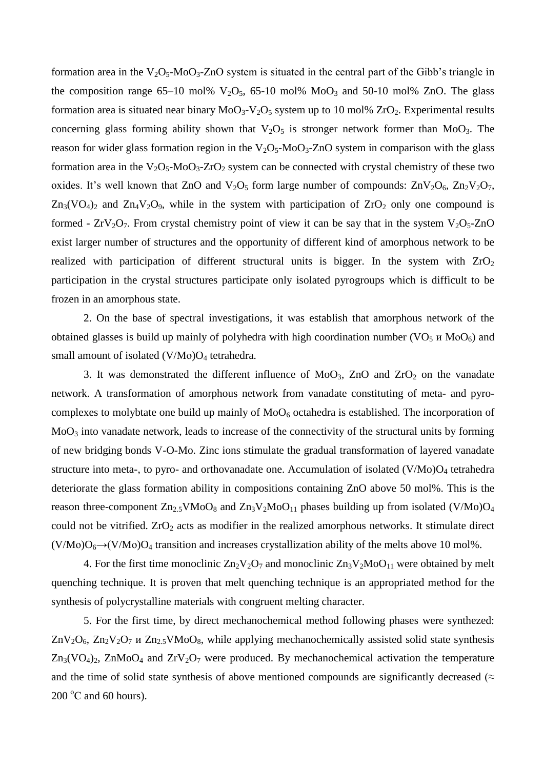formation area in the  $V_2O_5$ -Mo $O_3$ -ZnO system is situated in the central part of the Gibb's triangle in the composition range  $65-10$  mol%  $V_2O_5$ ,  $65-10$  mol%  $MoO_3$  and  $50-10$  mol% ZnO. The glass formation area is situated near binary  $MoO<sub>3</sub>-V<sub>2</sub>O<sub>5</sub>$  system up to 10 mol%  $ZrO<sub>2</sub>$ . Experimental results concerning glass forming ability shown that  $V_2O_5$  is stronger network former than MoO<sub>3</sub>. The reason for wider glass formation region in the  $V_2O_5$ -Mo $O_3$ -ZnO system in comparison with the glass formation area in the  $V_2O_5$ -Mo $O_3$ -ZrO<sub>2</sub> system can be connected with crystal chemistry of these two oxides. It's well known that ZnO and  $V_2O_5$  form large number of compounds:  $ZnV_2O_6$ ,  $Zn_2V_2O_7$ ,  $Zn_3(VO_4)_2$  and  $Zn_4V_2O_9$ , while in the system with participation of  $ZrO_2$  only one compound is formed -  $ZrV_2O_7$ . From crystal chemistry point of view it can be say that in the system  $V_2O_5$ -ZnO exist larger number of structures and the opportunity of different kind of amorphous network to be realized with participation of different structural units is bigger. In the system with  $ZrO<sub>2</sub>$ participation in the crystal structures participate only isolated pyrogroups which is difficult to be frozen in an amorphous state.

2. On the base of spectral investigations, it was establish that amorphous network of the obtained glasses is build up mainly of polyhedra with high coordination number (VO<sub>5</sub>  $\mu$  MoO<sub>6</sub>) and small amount of isolated  $(V/M<sub>0</sub>)O<sub>4</sub>$  tetrahedra.

3. It was demonstrated the different influence of  $MoO<sub>3</sub>$ , ZnO and ZrO<sub>2</sub> on the vanadate network. A transformation of amorphous network from vanadate constituting of meta- and pyrocomplexes to molybtate one build up mainly of  $MoO<sub>6</sub>$  octahedra is established. The incorporation of MoO<sup>3</sup> into vanadate network, leads to increase of the connectivity of the structural units by forming of new bridging bonds V-O-Mo. Zinc ions stimulate the gradual transformation of layered vanadate structure into meta-, to pyro- and orthovanadate one. Accumulation of isolated  $(V/M<sub>0</sub>)O<sub>4</sub>$  tetrahedra deteriorate the glass formation ability in compositions containing ZnO above 50 mol%. This is the reason three-component  $Zn_{2.5}VMoO_8$  and  $Zn_3V_2MoO_{11}$  phases building up from isolated (V/Mo)O<sub>4</sub> could not be vitrified.  $ZrO<sub>2</sub>$  acts as modifier in the realized amorphous networks. It stimulate direct  $(V/Mo)O<sub>6</sub>\rightarrow (V/Mo)O<sub>4</sub>$  transition and increases crystallization ability of the melts above 10 mol%.

4. For the first time monoclinic  $Zn_2V_2O_7$  and monoclinic  $Zn_3V_2MoO_{11}$  were obtained by melt quenching technique. It is proven that melt quenching technique is an appropriated method for the synthesis of polycrystalline materials with congruent melting character.

5. For the first time, by direct mechanochemical method following phases were synthezed:  $\text{ZnV}_2\text{O}_6$ ,  $\text{Zn}_2\text{V}_2\text{O}_7$  *u*  $\text{Zn}_{2.5}\text{VMoO}_8$ , while applying mechanochemically assisted solid state synthesis  $Zn_3(VO_4)_2$ ,  $ZnMoO_4$  and  $ZrV_2O_7$  were produced. By mechanochemical activation the temperature and the time of solid state synthesis of above mentioned compounds are significantly decreased ( $\approx$  $200 \degree C$  and 60 hours).